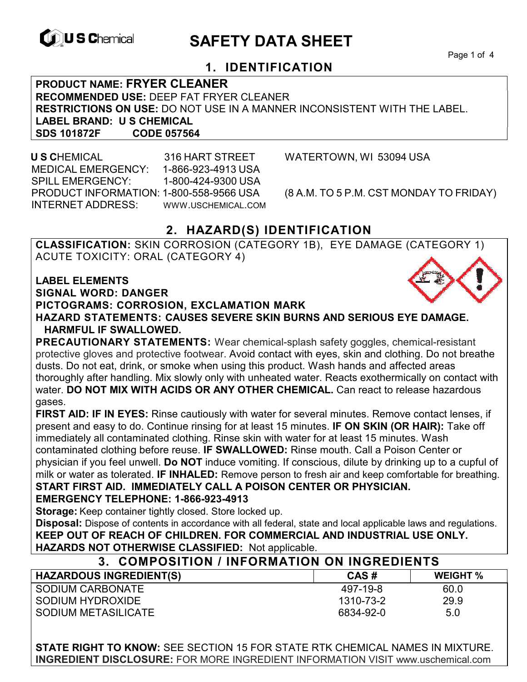

# **EXAGREM** SAFETY DATA SHEET

Page 1 of 4

## **1. IDENTIFICATION**

**PRODUCT NAME: FRYER CLEANER RECOMMENDED USE:** DEEP FAT FRYER CLEANER **RESTRICTIONS ON USE:** DO NOT USE IN A MANNER INCONSISTENT WITH THE LABEL. **LABEL BRAND: U S CHEMICAL SDS 101872F CODE 057564** 

 **U S C**HEMICAL 316 HART STREET WATERTOWN, WI 53094 USA MEDICAL EMERGENCY: 1-866-923-4913 USA SPILL EMERGENCY: 1-800-424-9300 USA PRODUCT INFORMATION: 1-800-558-9566 USA (8 A.M. TO 5 P.M. CST MONDAY TO FRIDAY) INTERNET ADDRESS: WWW.USCHEMICAL.COM

## **2. HAZARD(S) IDENTIFICATION**

**CLASSIFICATION:** SKIN CORROSION (CATEGORY 1B), EYE DAMAGE (CATEGORY 1) ACUTE TOXICITY: ORAL (CATEGORY 4)

**LABEL ELEMENTS SIGNAL WORD: DANGER PICTOGRAMS: CORROSION, EXCLAMATION MARK HAZARD STATEMENTS: CAUSES SEVERE SKIN BURNS AND SERIOUS EYE DAMAGE. HARMFUL IF SWALLOWED.** 

**PRECAUTIONARY STATEMENTS:** Wear chemical-splash safety goggles, chemical-resistant protective gloves and protective footwear. Avoid contact with eyes, skin and clothing. Do not breathe dusts. Do not eat, drink, or smoke when using this product. Wash hands and affected areas thoroughly after handling. Mix slowly only with unheated water. Reacts exothermically on contact with water. **DO NOT MIX WITH ACIDS OR ANY OTHER CHEMICAL.** Can react to release hazardous gases.

**FIRST AID: IF IN EYES:** Rinse cautiously with water for several minutes. Remove contact lenses, if present and easy to do. Continue rinsing for at least 15 minutes. **IF ON SKIN (OR HAIR):** Take off immediately all contaminated clothing. Rinse skin with water for at least 15 minutes. Wash contaminated clothing before reuse. **IF SWALLOWED:** Rinse mouth. Call a Poison Center or physician if you feel unwell. **Do NOT** induce vomiting. If conscious, dilute by drinking up to a cupful of milk or water as tolerated. **IF INHALED:** Remove person to fresh air and keep comfortable for breathing. **START FIRST AID. IMMEDIATELY CALL A POISON CENTER OR PHYSICIAN.** 

### **EMERGENCY TELEPHONE: 1-866-923-4913**

**Storage:** Keep container tightly closed. Store locked up.

**Disposal:** Dispose of contents in accordance with all federal, state and local applicable laws and regulations. **KEEP OUT OF REACH OF CHILDREN. FOR COMMERCIAL AND INDUSTRIAL USE ONLY. HAZARDS NOT OTHERWISE CLASSIFIED:** Not applicable.

## **3. COMPOSITION / INFORMATION ON INGREDIENTS**

| <b>HAZARDOUS INGREDIENT(S)</b> | CAS#      | <b>WEIGHT %</b> |
|--------------------------------|-----------|-----------------|
| SODIUM CARBONATE               | 497-19-8  | 60.0            |
| SODIUM HYDROXIDE               | 1310-73-2 | 29.9            |
| SODIUM METASILICATE            | 6834-92-0 | 5.0             |

**STATE RIGHT TO KNOW:** SEE SECTION 15 FOR STATE RTK CHEMICAL NAMES IN MIXTURE. **INGREDIENT DISCLOSURE:** FOR MORE INGREDIENT INFORMATION VISIT www.uschemical.com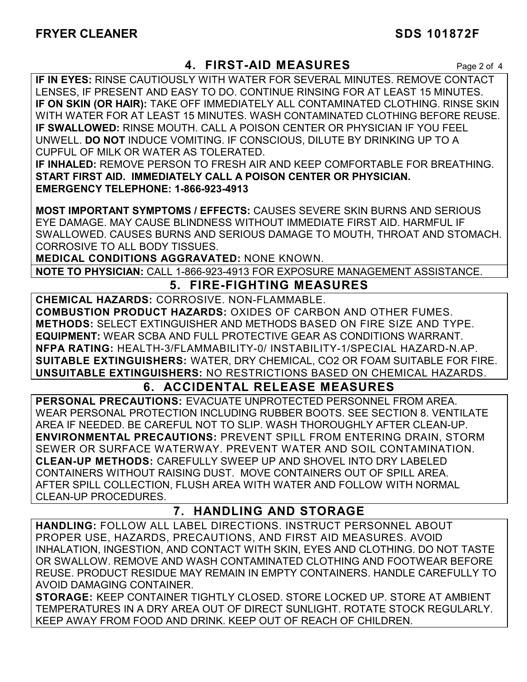## **4. FIRST-AID MEASURES** Page 2 of 4

**IF IN EYES:** RINSE CAUTIOUSLY WITH WATER FOR SEVERAL MINUTES. REMOVE CONTACT LENSES, IF PRESENT AND EASY TO DO. CONTINUE RINSING FOR AT LEAST 15 MINUTES. **IF ON SKIN (OR HAIR):** TAKE OFF IMMEDIATELY ALL CONTAMINATED CLOTHING. RINSE SKIN WITH WATER FOR AT LEAST 15 MINUTES. WASH CONTAMINATED CLOTHING BEFORE REUSE. **IF SWALLOWED:** RINSE MOUTH. CALL A POISON CENTER OR PHYSICIAN IF YOU FEEL UNWELL. **DO NOT** INDUCE VOMITING. IF CONSCIOUS, DILUTE BY DRINKING UP TO A CUPFUL OF MILK OR WATER AS TOLERATED.

**IF INHALED:** REMOVE PERSON TO FRESH AIR AND KEEP COMFORTABLE FOR BREATHING. **START FIRST AID. IMMEDIATELY CALL A POISON CENTER OR PHYSICIAN. EMERGENCY TELEPHONE: 1-866-923-4913**

**MOST IMPORTANT SYMPTOMS / EFFECTS:** CAUSES SEVERE SKIN BURNS AND SERIOUS EYE DAMAGE. MAY CAUSE BLINDNESS WITHOUT IMMEDIATE FIRST AID. HARMFUL IF SWALLOWED. CAUSES BURNS AND SERIOUS DAMAGE TO MOUTH, THROAT AND STOMACH. CORROSIVE TO ALL BODY TISSUES.

**MEDICAL CONDITIONS AGGRAVATED:** NONE KNOWN.

**NOTE TO PHYSICIAN:** CALL 1-866-923-4913 FOR EXPOSURE MANAGEMENT ASSISTANCE.

## **5. FIRE-FIGHTING MEASURES**

**CHEMICAL HAZARDS:** CORROSIVE. NON-FLAMMABLE. **COMBUSTION PRODUCT HAZARDS:** OXIDES OF CARBON AND OTHER FUMES. **METHODS:** SELECT EXTINGUISHER AND METHODS BASED ON FIRE SIZE AND TYPE. **EQUIPMENT:** WEAR SCBA AND FULL PROTECTIVE GEAR AS CONDITIONS WARRANT. **NFPA RATING:** HEALTH-3/FLAMMABILITY-0/ INSTABILITY-1/SPECIAL HAZARD-N.AP. **SUITABLE EXTINGUISHERS:** WATER, DRY CHEMICAL, CO2 OR FOAM SUITABLE FOR FIRE. **UNSUITABLE EXTINGUISHERS:** NO RESTRICTIONS BASED ON CHEMICAL HAZARDS.

## **6. ACCIDENTAL RELEASE MEASURES**

**PERSONAL PRECAUTIONS:** EVACUATE UNPROTECTED PERSONNEL FROM AREA. WEAR PERSONAL PROTECTION INCLUDING RUBBER BOOTS. SEE SECTION 8. VENTILATE AREA IF NEEDED. BE CAREFUL NOT TO SLIP. WASH THOROUGHLY AFTER CLEAN-UP. **ENVIRONMENTAL PRECAUTIONS:** PREVENT SPILL FROM ENTERING DRAIN, STORM SEWER OR SURFACE WATERWAY. PREVENT WATER AND SOIL CONTAMINATION. **CLEAN-UP METHODS:** CAREFULLY SWEEP UP AND SHOVEL INTO DRY LABELED CONTAINERS WITHOUT RAISING DUST. MOVE CONTAINERS OUT OF SPILL AREA. AFTER SPILL COLLECTION, FLUSH AREA WITH WATER AND FOLLOW WITH NORMAL CLEAN-UP PROCEDURES.

## **7. HANDLING AND STORAGE**

**HANDLING:** FOLLOW ALL LABEL DIRECTIONS. INSTRUCT PERSONNEL ABOUT PROPER USE, HAZARDS, PRECAUTIONS, AND FIRST AID MEASURES. AVOID INHALATION, INGESTION, AND CONTACT WITH SKIN, EYES AND CLOTHING. DO NOT TASTE OR SWALLOW. REMOVE AND WASH CONTAMINATED CLOTHING AND FOOTWEAR BEFORE REUSE. PRODUCT RESIDUE MAY REMAIN IN EMPTY CONTAINERS. HANDLE CAREFULLY TO AVOID DAMAGING CONTAINER.

**STORAGE:** KEEP CONTAINER TIGHTLY CLOSED. STORE LOCKED UP. STORE AT AMBIENT TEMPERATURES IN A DRY AREA OUT OF DIRECT SUNLIGHT. ROTATE STOCK REGULARLY. KEEP AWAY FROM FOOD AND DRINK. KEEP OUT OF REACH OF CHILDREN.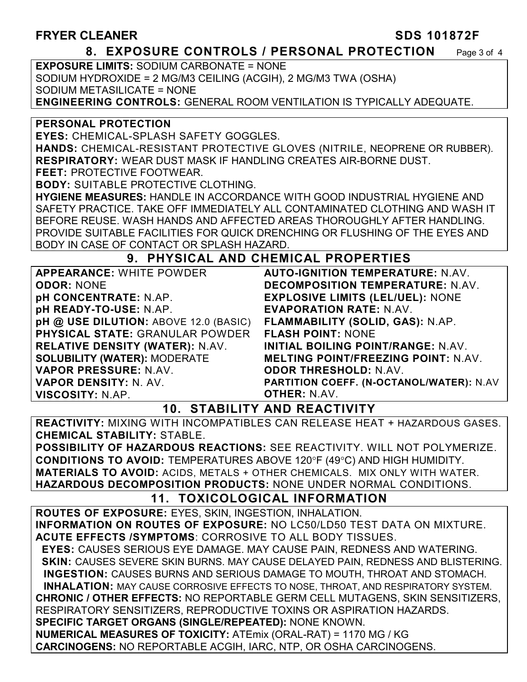## **FRYER CLEANER SDS 101872F**

### **8. EXPOSURE CONTROLS / PERSONAL PROTECTION** Page 3 of 4

**EXPOSURE LIMITS:** SODIUM CARBONATE = NONE SODIUM HYDROXIDE = 2 MG/M3 CEILING (ACGIH), 2 MG/M3 TWA (OSHA) SODIUM METASILICATE = NONE **ENGINEERING CONTROLS:** GENERAL ROOM VENTILATION IS TYPICALLY ADEQUATE.

### **PERSONAL PROTECTION**

**EYES:** CHEMICAL-SPLASH SAFETY GOGGLES.

**HANDS:** CHEMICAL-RESISTANT PROTECTIVE GLOVES (NITRILE, NEOPRENE OR RUBBER). **RESPIRATORY:** WEAR DUST MASK IF HANDLING CREATES AIR-BORNE DUST.

**FEET:** PROTECTIVE FOOTWEAR.

**BODY:** SUITABLE PROTECTIVE CLOTHING.

**HYGIENE MEASURES:** HANDLE IN ACCORDANCE WITH GOOD INDUSTRIAL HYGIENE AND SAFETY PRACTICE. TAKE OFF IMMEDIATELY ALL CONTAMINATED CLOTHING AND WASH IT BEFORE REUSE. WASH HANDS AND AFFECTED AREAS THOROUGHLY AFTER HANDLING. PROVIDE SUITABLE FACILITIES FOR QUICK DRENCHING OR FLUSHING OF THE EYES AND BODY IN CASE OF CONTACT OR SPLASH HAZARD.

## **9. PHYSICAL AND CHEMICAL PROPERTIES**

| <b>APPEARANCE: WHITE POWDER</b>        | <b>AUTO-</b>   |
|----------------------------------------|----------------|
| <b>ODOR: NONE</b>                      | <b>DECOI</b>   |
| <b>pH CONCENTRATE: N.AP.</b>           | <b>EXPLC</b>   |
| pH READY-TO-USE: N.AP.                 | <b>EVAPC</b>   |
| pH @ USE DILUTION: ABOVE 12.0 (BASIC)  | <b>FLAMN</b>   |
| <b>PHYSICAL STATE: GRANULAR POWDER</b> | <b>FLASH</b>   |
| <b>RELATIVE DENSITY (WATER): N.AV.</b> | <b>INITIAI</b> |
| <b>SOLUBILITY (WATER): MODERATE</b>    | <b>MELTI</b>   |
| VAPOR PRESSURE: N.AV.                  | <b>ODOR</b>    |
| VAPOR DENSITY: N. AV.                  | <b>PARTIT</b>  |
| <b>VISCOSITY: N.AP.</b>                | <b>OTHER</b>   |

*AUTOR TEMPERATURE:* **N.AV. DECOMPOSITION TEMPERATURE:** N.AV. **SIVE LIMITS (LEL/UEL): NONE EVAPORATION RATE:** N.AV. **FLAMMABILITY (SOLID, GAS):** N.AP. **FOINT: NONE** L BOILING POINT/RANGE: N.AV. **MELTING POINT/FREEZING POINT:** N.AV. **ODOR THRESHOLD:** N.AV. **PARTITION COEFF. (N-OCTANOL/WATER):** N.AV **R:** N.AV.

## **10. STABILITY AND REACTIVITY**

**REACTIVITY:** MIXING WITH INCOMPATIBLES CAN RELEASE HEAT + HAZARDOUS GASES. **CHEMICAL STABILITY:** STABLE.

**POSSIBILITY OF HAZARDOUS REACTIONS:** SEE REACTIVITY. WILL NOT POLYMERIZE. **CONDITIONS TO AVOID: TEMPERATURES ABOVE 120°F (49°C) AND HIGH HUMIDITY. MATERIALS TO AVOID:** ACIDS, METALS + OTHER CHEMICALS. MIX ONLY WITH WATER. **HAZARDOUS DECOMPOSITION PRODUCTS:** NONE UNDER NORMAL CONDITIONS.

## **11. TOXICOLOGICAL INFORMATION**

**ROUTES OF EXPOSURE:** EYES, SKIN, INGESTION, INHALATION. **INFORMATION ON ROUTES OF EXPOSURE:** NO LC50/LD50 TEST DATA ON MIXTURE. **ACUTE EFFECTS /SYMPTOMS**: CORROSIVE TO ALL BODY TISSUES.  **EYES:** CAUSES SERIOUS EYE DAMAGE. MAY CAUSE PAIN, REDNESS AND WATERING. **SKIN: CAUSES SEVERE SKIN BURNS. MAY CAUSE DELAYED PAIN, REDNESS AND BLISTERING. INGESTION:** CAUSES BURNS AND SERIOUS DAMAGE TO MOUTH, THROAT AND STOMACH. **INHALATION:** MAY CAUSE CORROSIVE EFFECTS TO NOSE, THROAT, AND RESPIRATORY SYSTEM. **CHRONIC / OTHER EFFECTS:** NO REPORTABLE GERM CELL MUTAGENS, SKIN SENSITIZERS, RESPIRATORY SENSITIZERS, REPRODUCTIVE TOXINS OR ASPIRATION HAZARDS. **SPECIFIC TARGET ORGANS (SINGLE/REPEATED):** NONE KNOWN. **NUMERICAL MEASURES OF TOXICITY:** ATEmix (ORAL-RAT) = 1170 MG / KG **CARCINOGENS:** NO REPORTABLE ACGIH, IARC, NTP, OR OSHA CARCINOGENS.